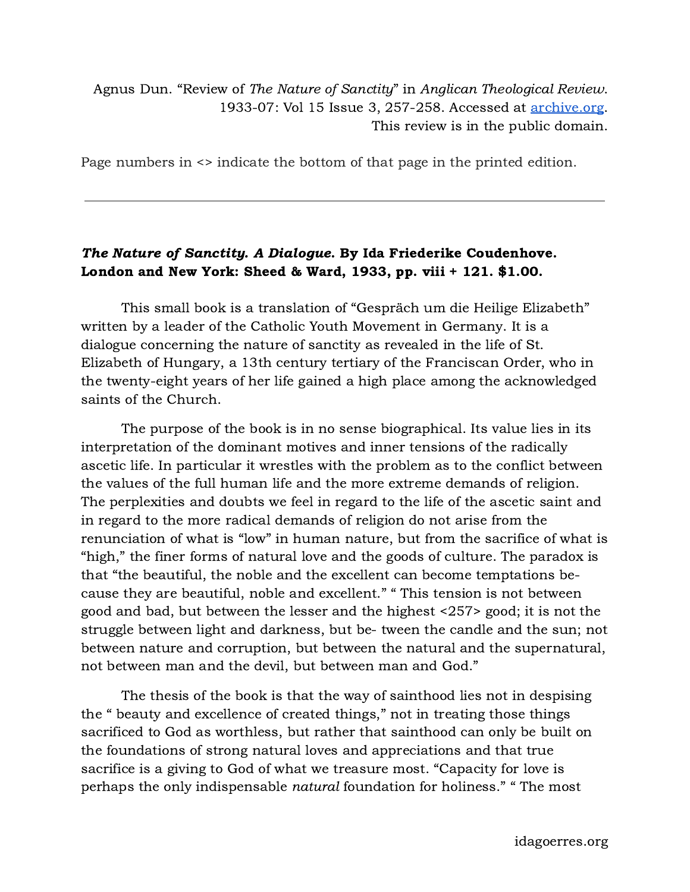## Agnus Dun. "Review of The Nature of Sanctity" in Anglican Theological Review. 1933-07: Vol 15 Issue 3, 257-258. Accessed at [archive.org](https://archive.org/details/sim_anglican-theological-review_1933-07_15_3/page/256/mode/2up?q=%22Ida+Friederike+Coudenhove%22). This review is in the public domain.

Page numbers in <> indicate the bottom of that page in the printed edition.

## The Nature of Sanctity. A Dialogue. By Ida Friederike Coudenhove. London and New York: Sheed & Ward, 1933, pp. viii + 121. \$1.00.

This small book is a translation of "Gespräch um die Heilige Elizabeth" written by a leader of the Catholic Youth Movement in Germany. It is a dialogue concerning the nature of sanctity as revealed in the life of St. Elizabeth of Hungary, a 13th century tertiary of the Franciscan Order, who in the twenty-eight years of her life gained a high place among the acknowledged saints of the Church.

The purpose of the book is in no sense biographical. Its value lies in its interpretation of the dominant motives and inner tensions of the radically ascetic life. In particular it wrestles with the problem as to the conflict between the values of the full human life and the more extreme demands of religion. The perplexities and doubts we feel in regard to the life of the ascetic saint and in regard to the more radical demands of religion do not arise from the renunciation of what is "low" in human nature, but from the sacrifice of what is "high," the finer forms of natural love and the goods of culture. The paradox is that "the beautiful, the noble and the excellent can become temptations because they are beautiful, noble and excellent." " This tension is not between good and bad, but between the lesser and the highest <257> good; it is not the struggle between light and darkness, but be- tween the candle and the sun; not between nature and corruption, but between the natural and the supernatural, not between man and the devil, but between man and God."

The thesis of the book is that the way of sainthood lies not in despising the " beauty and excellence of created things," not in treating those things sacrificed to God as worthless, but rather that sainthood can only be built on the foundations of strong natural loves and appreciations and that true sacrifice is a giving to God of what we treasure most. "Capacity for love is perhaps the only indispensable natural foundation for holiness." " The most